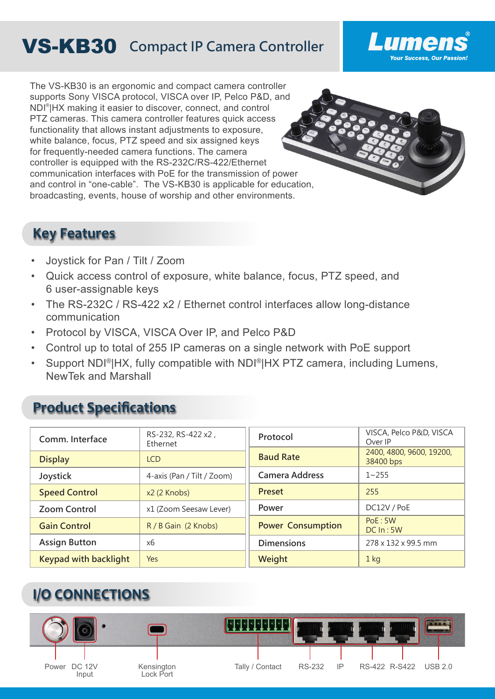# VS-KB30 **Compact IP Camera Controller**

The VS-KB30 is an ergonomic and compact camera controller supports Sony VISCA protocol, VISCA over IP, Pelco P&D, and NDI® |HX making it easier to discover, connect, and control PTZ cameras. This camera controller features quick access functionality that allows instant adjustments to exposure, white balance, focus, PTZ speed and six assigned keys for frequently-needed camera functions. The camera controller is equipped with the RS-232C/RS-422/Ethernet communication interfaces with PoE for the transmission of power and control in "one-cable". The VS-KB30 is applicable for education, broadcasting, events, house of worship and other environments.



Lumen

**Your Success, Our Passion!** 

### **Key Features**

- Joystick for Pan / Tilt / Zoom
- Quick access control of exposure, white balance, focus, PTZ speed, and 6 user-assignable keys
- The RS-232C / RS-422 x2 / Ethernet control interfaces allow long-distance communication
- Protocol by VISCA, VISCA Over IP, and Pelco P&D
- Control up to total of 255 IP cameras on a single network with PoE support
- Support NDI<sup>®</sup>|HX, fully compatible with NDI<sup>®</sup>|HX PTZ camera, including Lumens, NewTek and Marshall

### **Product Specifications**

| Comm. Interface              | RS-232, RS-422 x2,<br>Ethernet | Protocol                 | VISCA, Pelco P&D, VISCA<br>Over IP    |
|------------------------------|--------------------------------|--------------------------|---------------------------------------|
| <b>Display</b>               | <b>LCD</b>                     | <b>Baud Rate</b>         | 2400, 4800, 9600, 19200,<br>38400 bps |
| Joystick                     | 4-axis (Pan / Tilt / Zoom)     | <b>Camera Address</b>    | $1 - 255$                             |
| <b>Speed Control</b>         | x2 (2 Knobs)                   | <b>Preset</b>            | 255                                   |
| <b>Zoom Control</b>          | x1 (Zoom Seesaw Lever)         | Power                    | DC12V / PoE                           |
| <b>Gain Control</b>          | R / B Gain (2 Knobs)           | <b>Power Consumption</b> | PoE: 5W<br>DCIn:5W                    |
| <b>Assign Button</b>         | x6                             | <b>Dimensions</b>        | 278 x 132 x 99.5 mm                   |
| <b>Keypad with backlight</b> | Yes                            | Weight                   | $1$ kg                                |

## **I/O CONNECTIONS**